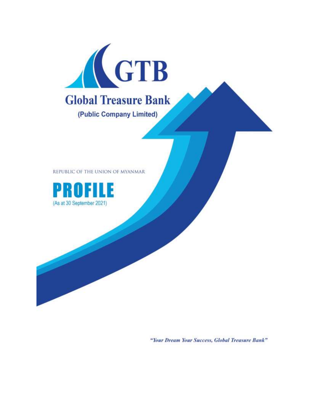

REPUBLIC OF THE UNION OF MYANMAR



"Your Dream Your Success, Global Treasure Bank"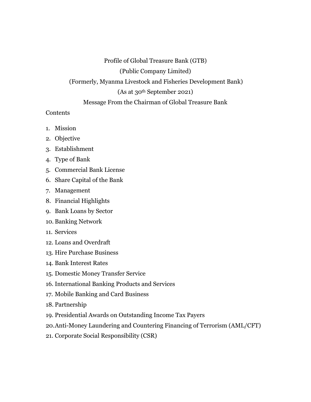Profile of Global Treasure Bank (GTB) (Public Company Limited) (Formerly, Myanma Livestock and Fisheries Development Bank) (As at 30th September 2021) Message From the Chairman of Global Treasure Bank

#### **Contents**

- 1. Mission
- 2. Objective
- 3. Establishment
- 4. Type of Bank
- 5. Commercial Bank License
- 6. Share Capital of the Bank
- 7. Management
- 8. Financial Highlights
- 9. Bank Loans by Sector
- 10. Banking Network
- 11. Services
- 12. Loans and Overdraft
- 13. Hire Purchase Business
- 14. Bank Interest Rates
- 15. Domestic Money Transfer Service
- 16. International Banking Products and Services
- 17. Mobile Banking and Card Business
- 18. Partnership
- 19. Presidential Awards on Outstanding Income Tax Payers
- 20.Anti-Money Laundering and Countering Financing of Terrorism (AML/CFT)
- 21. Corporate Social Responsibility (CSR)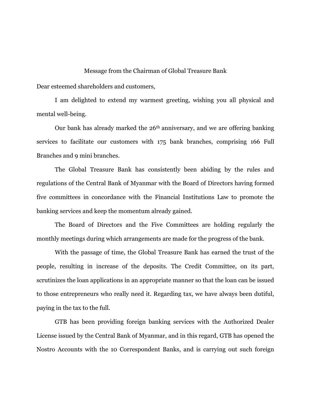#### Message from the Chairman of Global Treasure Bank

Dear esteemed shareholders and customers,

I am delighted to extend my warmest greeting, wishing you all physical and mental well-being.

Our bank has already marked the 26th anniversary, and we are offering banking services to facilitate our customers with 175 bank branches, comprising 166 Full Branches and 9 mini branches.

The Global Treasure Bank has consistently been abiding by the rules and regulations of the Central Bank of Myanmar with the Board of Directors having formed five committees in concordance with the Financial Institutions Law to promote the banking services and keep the momentum already gained.

The Board of Directors and the Five Committees are holding regularly the monthly meetings during which arrangements are made for the progress of the bank.

With the passage of time, the Global Treasure Bank has earned the trust of the people, resulting in increase of the deposits. The Credit Committee, on its part, scrutinizes the loan applications in an appropriate manner so that the loan can be issued to those entrepreneurs who really need it. Regarding tax, we have always been dutiful, paying in the tax to the full.

GTB has been providing foreign banking services with the Authorized Dealer License issued by the Central Bank of Myanmar, and in this regard, GTB has opened the Nostro Accounts with the 10 Correspondent Banks, and is carrying out such foreign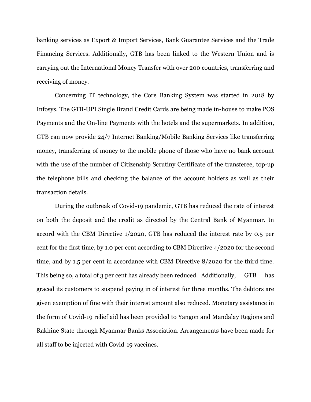banking services as Export & Import Services, Bank Guarantee Services and the Trade Financing Services. Additionally, GTB has been linked to the Western Union and is carrying out the International Money Transfer with over 200 countries, transferring and receiving of money.

Concerning IT technology, the Core Banking System was started in 2018 by Infosys. The GTB-UPI Single Brand Credit Cards are being made in-house to make POS Payments and the On-line Payments with the hotels and the supermarkets. In addition, GTB can now provide 24/7 Internet Banking/Mobile Banking Services like transferring money, transferring of money to the mobile phone of those who have no bank account with the use of the number of Citizenship Scrutiny Certificate of the transferee, top-up the telephone bills and checking the balance of the account holders as well as their transaction details.

During the outbreak of Covid-19 pandemic, GTB has reduced the rate of interest on both the deposit and the credit as directed by the Central Bank of Myanmar. In accord with the CBM Directive 1/2020, GTB has reduced the interest rate by 0.5 per cent for the first time, by 1.0 per cent according to CBM Directive 4/2020 for the second time, and by 1.5 per cent in accordance with CBM Directive 8/2020 for the third time. This being so, a total of 3 per cent has already been reduced. Additionally, GTB has graced its customers to suspend paying in of interest for three months. The debtors are given exemption of fine with their interest amount also reduced. Monetary assistance in the form of Covid-19 relief aid has been provided to Yangon and Mandalay Regions and Rakhine State through Myanmar Banks Association. Arrangements have been made for all staff to be injected with Covid-19 vaccines.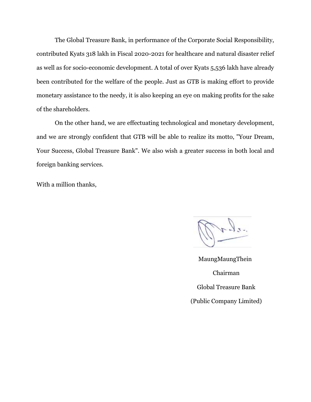The Global Treasure Bank, in performance of the Corporate Social Responsibility, contributed Kyats 318 lakh in Fiscal 2020-2021 for healthcare and natural disaster relief as well as for socio-economic development. A total of over Kyats 5,536 lakh have already been contributed for the welfare of the people. Just as GTB is making effort to provide monetary assistance to the needy, it is also keeping an eye on making profits for the sake of the shareholders.

On the other hand, we are effectuating technological and monetary development, and we are strongly confident that GTB will be able to realize its motto, "Your Dream, Your Success, Global Treasure Bank". We also wish a greater success in both local and foreign banking services.

With a million thanks,

MaungMaungThein Chairman Global Treasure Bank (Public Company Limited)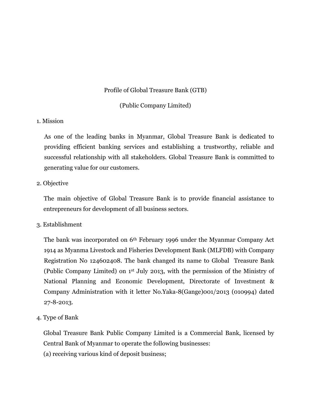# Profile of Global Treasure Bank (GTB)

# (Public Company Limited)

# 1. Mission

As one of the leading banks in Myanmar, Global Treasure Bank is dedicated to providing efficient banking services and establishing a trustworthy, reliable and successful relationship with all stakeholders. Global Treasure Bank is committed to generating value for our customers.

### 2. Objective

The main objective of Global Treasure Bank is to provide financial assistance to entrepreneurs for development of all business sectors.

#### 3. Establishment

The bank was incorporated on 6th February 1996 under the Myanmar Company Act 1914 as Myanma Livestock and Fisheries Development Bank (MLFDB) with Company Registration No 124602408. The bank changed its name to Global Treasure Bank (Public Company Limited) on 1st July 2013, with the permission of the Ministry of National Planning and Economic Development, Directorate of Investment & Company Administration with it letter No.Yaka-8(Gange)001/2013 (010994) dated 27-8-2013.

4. Type of Bank

Global Treasure Bank Public Company Limited is a Commercial Bank, licensed by Central Bank of Myanmar to operate the following businesses:

(a) receiving various kind of deposit business;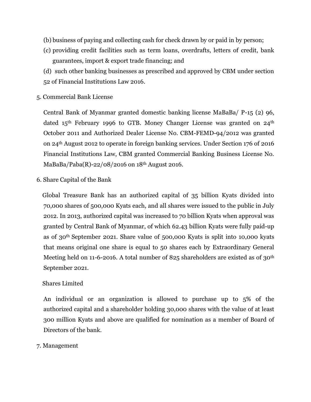(b) business of paying and collecting cash for check drawn by or paid in by person;

- (c) providing credit facilities such as term loans, overdrafts, letters of credit, bank guarantees, import & export trade financing; and
- (d) such other banking businesses as prescribed and approved by CBM under section 52 of Financial Institutions Law 2016.
- 5. Commercial Bank License

Central Bank of Myanmar granted domestic banking license MaBaBa/ P-15 (2) 96, dated  $15<sup>th</sup>$  February 1996 to GTB. Money Changer License was granted on  $24<sup>th</sup>$ October 2011 and Authorized Dealer License No. CBM-FEMD-94/2012 was granted on 24th August 2012 to operate in foreign banking services. Under Section 176 of 2016 Financial Institutions Law, CBM granted Commercial Banking Business License No. MaBaBa/Paba(R)-22/08/2016 on 18th August 2016.

6. Share Capital of the Bank

 Global Treasure Bank has an authorized capital of 35 billion Kyats divided into 70,000 shares of 500,000 Kyats each, and all shares were issued to the public in July 2012. In 2013, authorized capital was increased to 70 billion Kyats when approval was granted by Central Bank of Myanmar, of which 62.43 billion Kyats were fully paid-up as of 30th September 2021. Share value of 500,000 Kyats is split into 10,000 kyats that means original one share is equal to 50 shares each by Extraordinary General Meeting held on 11-6-2016. A total number of 825 shareholders are existed as of 30<sup>th</sup> September 2021.

#### Shares Limited

An individual or an organization is allowed to purchase up to 5% of the authorized capital and a shareholder holding 30,000 shares with the value of at least 300 million Kyats and above are qualified for nomination as a member of Board of Directors of the bank.

#### 7. Management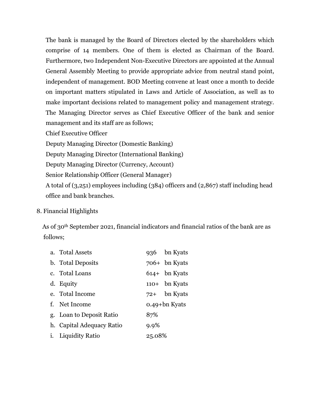The bank is managed by the Board of Directors elected by the shareholders which comprise of 14 members. One of them is elected as Chairman of the Board. Furthermore, two Independent Non-Executive Directors are appointed at the Annual General Assembly Meeting to provide appropriate advice from neutral stand point, independent of management. BOD Meeting convene at least once a month to decide on important matters stipulated in Laws and Article of Association, as well as to make important decisions related to management policy and management strategy. The Managing Director serves as Chief Executive Officer of the bank and senior management and its staff are as follows;

Chief Executive Officer

Deputy Managing Director (Domestic Banking)

Deputy Managing Director (International Banking)

Deputy Managing Director (Currency, Account)

Senior Relationship Officer (General Manager)

A total of (3,251) employees including (384) officers and (2,867) staff including head office and bank branches.

# 8. Financial Highlights

 As of 30th September 2021, financial indicators and financial ratios of the bank are as follows;

| a. Total Assets           |        | 936 bn Kyats    |
|---------------------------|--------|-----------------|
| b. Total Deposits         |        | $706+$ bn Kyats |
| c. Total Loans            |        | $614+$ bn Kyats |
| d. Equity                 |        | $110+$ bn Kyats |
| e. Total Income           |        | $72+$ bn Kyats  |
| f. Net Income             |        | 0.49+bn Kyats   |
| g. Loan to Deposit Ratio  | 87%    |                 |
| h. Capital Adequacy Ratio | 9.9%   |                 |
| <i>i.</i> Liquidity Ratio | 25.08% |                 |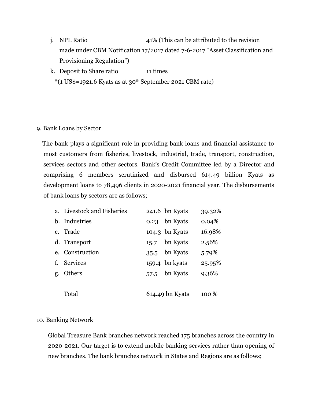- j. NPL Ratio 41% (This can be attributed to the revision made under CBM Notification 17/2017 dated 7-6-2017 "Asset Classification and Provisioning Regulation")
- k. Deposit to Share ratio 11 times  $*(1 \text{ US}\$=1921.6 \text{ Kyats as at } 30^{\text{th}} \text{September } 2021 \text{ CBM rate})$

### 9. Bank Loans by Sector

 The bank plays a significant role in providing bank loans and financial assistance to most customers from fisheries, livestock, industrial, trade, transport, construction, services sectors and other sectors. Bank's Credit Committee led by a Director and comprising 6 members scrutinized and disbursed 614.49 billion Kyats as development loans to 78,496 clients in 2020-2021 financial year. The disbursements of bank loans by sectors are as follows;

| a. Livestock and Fisheries |      | 241.6 bn Kyats  | 39.32% |
|----------------------------|------|-----------------|--------|
| b. Industries              | 0.23 | bn Kyats        | 0.04%  |
| c. Trade                   |      | 104.3 bn Kyats  | 16.98% |
| d. Transport               |      | 15.7 bn Kyats   | 2.56%  |
| e. Construction            |      | 35.5 bn Kyats   | 5.79%  |
| f. Services                |      | 159.4 bn kyats  | 25.95% |
| g. Others                  | 57.5 | bn Kyats        | 9.36%  |
|                            |      |                 |        |
| Total                      |      | 614.49 bn Kyats | 100 %  |

# 10. Banking Network

Global Treasure Bank branches network reached 175 branches across the country in 2020-2021. Our target is to extend mobile banking services rather than opening of new branches. The bank branches network in States and Regions are as follows;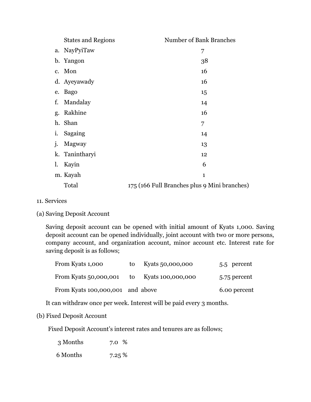|    | <b>States and Regions</b> | <b>Number of Bank Branches</b>               |
|----|---------------------------|----------------------------------------------|
|    | a. NayPyiTaw              | 7                                            |
|    | b. Yangon                 | 38                                           |
|    | c. Mon                    | 16                                           |
|    | d. Ayeyawady              | 16                                           |
|    | e. Bago                   | 15                                           |
| f. | Mandalay                  | 14                                           |
| g. | Rakhine                   | 16                                           |
|    | h. Shan                   | 7                                            |
|    | i. Sagaing                | 14                                           |
| j. | Magway                    | 13                                           |
|    | k. Tanintharyi            | 12                                           |
| 1. | Kayin                     | 6                                            |
|    | m. Kayah                  | $\mathbf{1}$                                 |
|    | Total                     | 175 (166 Full Branches plus 9 Mini branches) |

- 11. Services
- (a) Saving Deposit Account

Saving deposit account can be opened with initial amount of Kyats 1,000. Saving deposit account can be opened individually, joint account with two or more persons, company account, and organization account, minor account etc. Interest rate for saving deposit is as follows;

| From Kyats 1,000                           | to | Kyats 50,000,000 | 5.5 percent  |
|--------------------------------------------|----|------------------|--------------|
| From Kyats 50,000,001 to Kyats 100,000,000 |    |                  | 5.75 percent |
| From Kyats 100,000,001 and above           |    |                  | 6.00 percent |

It can withdraw once per week. Interest will be paid every 3 months.

### (b) Fixed Deposit Account

Fixed Deposit Account's interest rates and tenures are as follows;

 3 Months 7.0 % 6 Months 7.25 %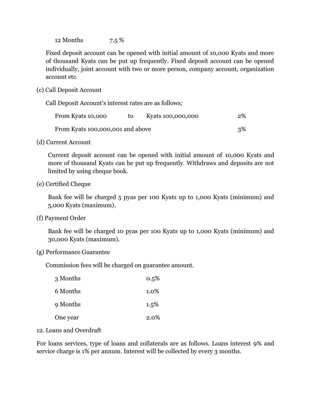12 Months 7.5 %

Fixed deposit account can be opened with initial amount of 10,000 Kyats and more of thousand Kyats can be put up frequently. Fixed deposit account can be opened individually, joint account with two or more person, company account, organization account etc.

(c) Call Deposit Account

Call Deposit Account's interest rates are as follows;

| From Kyats 10,000                | to. | Kyats 100,000,000 | 2% |
|----------------------------------|-----|-------------------|----|
| From Kyats 100,000,001 and above |     |                   | 3% |

(d) Current Account

Current deposit account can be opened with initial amount of 10,000 Kyats and more of thousand Kyats can be put up frequently. Withdraws and deposits are not limited by using cheque book.

(e) Certified Cheque

Bank fee will be charged 5 pyas per 100 Kyats up to 1,000 Kyats (minimum) and 5,000 Kyats (maximum).

(f) Payment Order

Bank fee will be charged 10 pyas per 100 Kyats up to 1,000 Kyats (minimum) and 30,000 Kyats (maximum).

(g) Performance Guarantee

Commission fees will be charged on guarantee amount.

| 3 Months | $0.5\%$ |
|----------|---------|
| 6 Months | 1.0%    |
| 9 Months | $1.5\%$ |
| One year | 2.0%    |

#### 12. Loans and Overdraft

For loans services, type of loans and collaterals are as follows. Loans interest 9% and service charge is 1% per annum. Interest will be collected by every 3 months.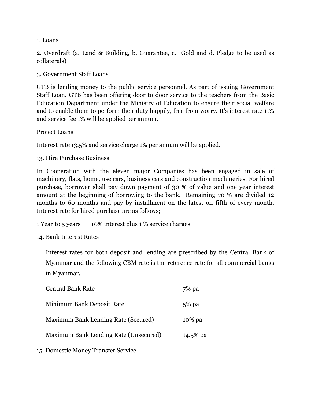1. Loans

2. Overdraft (a. Land & Building, b. Guarantee, c. Gold and d. Pledge to be used as collaterals)

3. Government Staff Loans

GTB is lending money to the public service personnel. As part of issuing Government Staff Loan, GTB has been offering door to door service to the teachers from the Basic Education Department under the Ministry of Education to ensure their social welfare and to enable them to perform their duty happily, free from worry. It's interest rate 11% and service fee 1% will be applied per annum.

Project Loans

Interest rate 13.5% and service charge 1% per annum will be applied.

13. Hire Purchase Business

In Cooperation with the eleven major Companies has been engaged in sale of machinery, flats, home, use cars, business cars and construction machineries. For hired purchase, borrower shall pay down payment of 30 % of value and one year interest amount at the beginning of borrowing to the bank. Remaining 70 % are divided 12 months to 60 months and pay by installment on the latest on fifth of every month. Interest rate for hired purchase are as follows;

1 Year to 5 years 10% interest plus 1 % service charges

14. Bank Interest Rates

Interest rates for both deposit and lending are prescribed by the Central Bank of Myanmar and the following CBM rate is the reference rate for all commercial banks in Myanmar.

| <b>Central Bank Rate</b>              | $7\%$ pa |
|---------------------------------------|----------|
| Minimum Bank Deposit Rate             | $5\%$ pa |
| Maximum Bank Lending Rate (Secured)   | 10% pa   |
| Maximum Bank Lending Rate (Unsecured) | 14.5% pa |
|                                       |          |

15. Domestic Money Transfer Service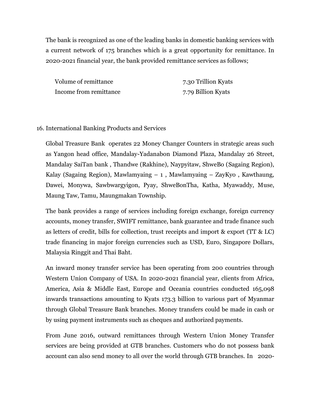The bank is recognized as one of the leading banks in domestic banking services with a current network of 175 branches which is a great opportunity for remittance. In 2020-2021 financial year, the bank provided remittance services as follows;

Volume of remittance 7.30 Trillion Kyats Income from remittance 7.79 Billion Kyats

#### 16. International Banking Products and Services

Global Treasure Bank operates 22 Money Changer Counters in strategic areas such as Yangon head office, Mandalay-Yadanabon Diamond Plaza, Mandalay 26 Street, Mandalay SaiTan bank , Thandwe (Rakhine), Naypyitaw, ShweBo (Sagaing Region), Kalay (Sagaing Region), Mawlamyaing  $-1$ , Mawlamyaing  $-$  ZayKyo, Kawthaung, Dawei, Monywa, Sawbwargyigon, Pyay, ShweBonTha, Katha, Myawaddy, Muse, Maung Taw, Tamu, Maungmakan Township.

The bank provides a range of services including foreign exchange, foreign currency accounts, money transfer, SWIFT remittance, bank guarantee and trade finance such as letters of credit, bills for collection, trust receipts and import & export (TT & LC) trade financing in major foreign currencies such as USD, Euro, Singapore Dollars, Malaysia Ringgit and Thai Baht.

An inward money transfer service has been operating from 200 countries through Western Union Company of USA. In 2020-2021 financial year, clients from Africa, America, Asia & Middle East, Europe and Oceania countries conducted 165,098 inwards transactions amounting to Kyats 173.3 billion to various part of Myanmar through Global Treasure Bank branches. Money transfers could be made in cash or by using payment instruments such as cheques and authorized payments.

From June 2016, outward remittances through Western Union Money Transfer services are being provided at GTB branches. Customers who do not possess bank account can also send money to all over the world through GTB branches. In 2020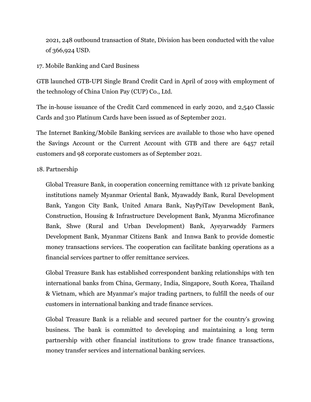2021, 248 outbound transaction of State, Division has been conducted with the value of 366,924 USD.

17. Mobile Banking and Card Business

GTB launched GTB-UPI Single Brand Credit Card in April of 2019 with employment of the technology of China Union Pay (CUP) Co., Ltd.

The in-house issuance of the Credit Card commenced in early 2020, and 2,540 Classic Cards and 310 Platinum Cards have been issued as of September 2021.

The Internet Banking/Mobile Banking services are available to those who have opened the Savings Account or the Current Account with GTB and there are 6457 retail customers and 98 corporate customers as of September 2021.

### 18. Partnership

Global Treasure Bank, in cooperation concerning remittance with 12 private banking institutions namely Myanmar Oriental Bank, Myawaddy Bank, Rural Development Bank, Yangon City Bank, United Amara Bank, NayPyiTaw Development Bank, Construction, Housing & Infrastructure Development Bank, Myanma Microfinance Bank, Shwe (Rural and Urban Development) Bank, Ayeyarwaddy Farmers Development Bank, Myanmar Citizens Bank and Innwa Bank to provide domestic money transactions services. The cooperation can facilitate banking operations as a financial services partner to offer remittance services.

Global Treasure Bank has established correspondent banking relationships with ten international banks from China, Germany, India, Singapore, South Korea, Thailand & Vietnam, which are Myanmar's major trading partners, to fulfill the needs of our customers in international banking and trade finance services.

Global Treasure Bank is a reliable and secured partner for the country's growing business. The bank is committed to developing and maintaining a long term partnership with other financial institutions to grow trade finance transactions, money transfer services and international banking services.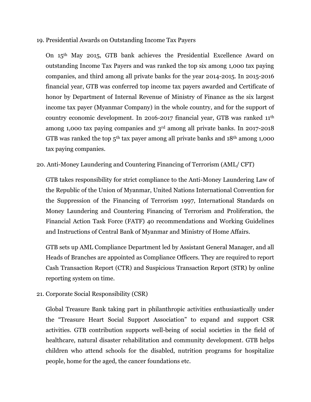#### 19. Presidential Awards on Outstanding Income Tax Payers

On 15th May 2015, GTB bank achieves the Presidential Excellence Award on outstanding Income Tax Payers and was ranked the top six among 1,000 tax paying companies, and third among all private banks for the year 2014-2015. In 2015-2016 financial year, GTB was conferred top income tax payers awarded and Certificate of honor by Department of Internal Revenue of Ministry of Finance as the six largest income tax payer (Myanmar Company) in the whole country, and for the support of country economic development. In 2016-2017 financial year, GTB was ranked 11th among 1,000 tax paying companies and 3rd among all private banks. In 2017-2018 GTB was ranked the top  $5<sup>th</sup>$  tax payer among all private banks and  $18<sup>th</sup>$  among 1,000 tax paying companies.

# 20. Anti-Money Laundering and Countering Financing of Terrorism (AML/ CFT)

GTB takes responsibility for strict compliance to the Anti-Money Laundering Law of the Republic of the Union of Myanmar, United Nations International Convention for the Suppression of the Financing of Terrorism 1997, International Standards on Money Laundering and Countering Financing of Terrorism and Proliferation, the Financial Action Task Force (FATF) 40 recommendations and Working Guidelines and Instructions of Central Bank of Myanmar and Ministry of Home Affairs.

GTB sets up AML Compliance Department led by Assistant General Manager, and all Heads of Branches are appointed as Compliance Officers. They are required to report Cash Transaction Report (CTR) and Suspicious Transaction Report (STR) by online reporting system on time.

21. Corporate Social Responsibility (CSR)

Global Treasure Bank taking part in philanthropic activities enthusiastically under the "Treasure Heart Social Support Association" to expand and support CSR activities. GTB contribution supports well-being of social societies in the field of healthcare, natural disaster rehabilitation and community development. GTB helps children who attend schools for the disabled, nutrition programs for hospitalize people, home for the aged, the cancer foundations etc.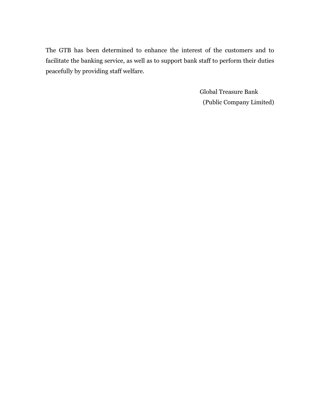The GTB has been determined to enhance the interest of the customers and to facilitate the banking service, as well as to support bank staff to perform their duties peacefully by providing staff welfare.

> Global Treasure Bank (Public Company Limited)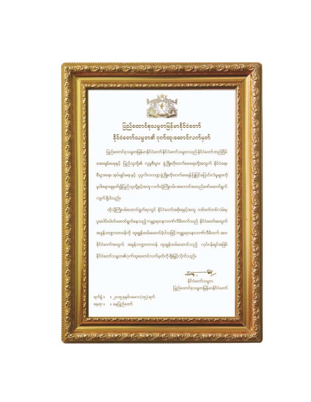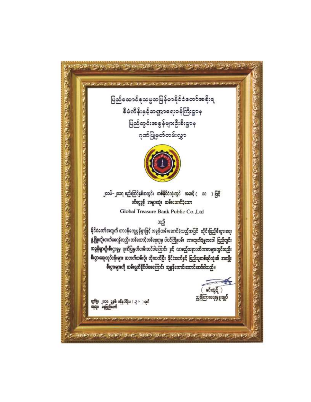(ウィライ・キュラ・カコマ・カミラ・カミュ・カミクション) **このことで、そのことで、アイディアルディアルディアルディアルディアルディアンディアンディアンディアンディアン** A SAN A CONSTRUCTION AND DESCRIPTION OF A SAN ASSESSMENT OF A SAN AND A ပြည်ထောင်စုသမ္မတမြန်မာနိုင်ငံတော်အစိုးရ စီမံကိန်းနှင့်ဘဏ္ဍာရေးဝန်ကြီးဌာန ပြည်တွင်းအစွန်များဦးစီးဌာန ဂုဏ်ပြုမှတ်တမ်းလွှာ ၂၀၁၆–၂၀၁ဂု ဧည္မ်ိဳးကြပိန္ခစိအတွင်း တစိနိုင်ငံလုံးတွင် အဆင့် ( ၁၁ ) ဖြင့် ဝင်ငွေခွန် အများဆုံး ထမ်းဆောင်ခဲ့သော Global Treasure Bank Public Co., Ltd သည် နိုင်ငံတော်အတွက် တာ၀န်ကျေပွန်စွာဇြငို အခွန်ထမ်းဆောင်ခဲ့သည့်အပြင် - တိုင်းပြည်စီးပွားရေး ဖွံ့ဖြိုးတိုးတက်ရေေနိုလည်း တစ်ထောင့်တစ်နေ့ရာမှ ဝါဝင်ကြိုးဝမ်း အားထုတိခဲ့မှုအဝေါ် ပြည်တွင်း အခွန်များဦးစီးဌာနမှ ဂုဏ်ပြုမှတ်တမ်းတင်ဝါကြောင်း နှင့် လာဧည့်အနာဂတိကာလများတွင်လည်း စီးပွားရေးလုဝိငန်းများ ဆတတိထမ်းဝိုး တိုးတက်ပြီး နိုင်ငံတော်နှင့် ပြည်သူတစ်ရဝိလုံး၏ အကျိုး စီးပွားများကို ထမ်းရွက်နိုင်ဝါးေကြောင်း ဆုမွန်ကောင်းတောင်းအဝိဝါသည်။  $\Rightarrow$  $\mathsf{B}\mathsf{C}\mathsf{B}\mathsf{C}\mathsf{B}\mathsf{C}$ ညွှန်ကြားရေးမှူးချုပ် ရက်ရုံး ၂၀၁၈ ခုနှစ်၊ ဇန်နဝါရီလ ( -၃ > ) ရက်<br>နေရာ့၊ နေပြည်တော် المحافظ المتحركة المسترد ゆわうか ダインダイ サインタル ダインタル ダインダイ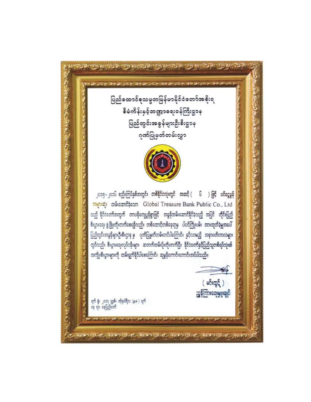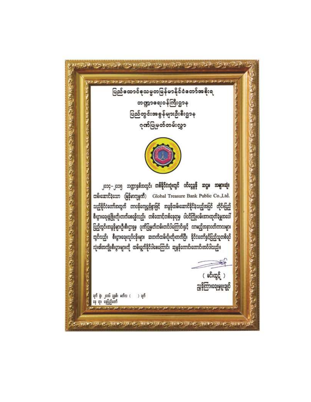والمستواجى والاستقطار والمستوحة والمعاملة エラ カラドミ エク・ウェブ スク・カット あえか ပြည်ထောင်စုသမ္မတမြန်မာနိုင်ငံတော်အစိုးရ Ĩ, ဘဏ္ဍာခရးဝန်ကြီးဌာန A ALE ONE CONTROL ON THE OWNER WAS CONTROLLED TO THE CONTROL OF THE CONTROL OF THE CONTROL OF THE CONTROL OF THE CONTROL OF THE CONTROL OF THE CONTROL OF THE CONTROL OF THE CONTROL OF THE CONTROL OF THE CONTROL OF THE CONT ပြည်တွင်းအစွန်များဦးစီးဌာန ဂုဏ်ပြုမှတ်တမ်းလွှာ لتمناوض الأبتين والتسافر لتساول المرافي والمرافي المرافي الأمال المتساولات Courses of Courses ၂၀၁၄–၂၀၁၅ ဘဏ္ဍာနှစ်အတွင်း **တစ်နိုင်ငံလုံးတွင် ဝင်ငွေခွန် ဆဋ္ဌမ အများဆုံး** ထမ်းဆောင်ခဲ့သော (မြန်မာကုမ္ပဏီ) Global Treasure Bank Public Co.,Ltd. သည်နိုင်ငံတော်အတွက် တာဝန်ကျေပွန်စွာဖြင့် အခွန်ထမ်းဆောင်နိုင်ခဲ့သည့်အပြင် တိုင်းပြည် စီးပွားရေးဖွံ့ဖြိုးတိုးတက်စေရန်လည်း တစ်ထောင့်တစ်နေ့ရာမှ ပါဝင်ကြိုးဝမ်းအားထုတ်ခဲ့မှုအပေါ် ပြည်တွင်းအခွန်များဦးစီးဌာနမှ ဂုဏ်ပြုမှတ်တမ်းတင်ပါကြောင်းနှင့် လာမည့်အနာဂတိကာလများ တွင်လည်း စီးပွားရေးလုပ်ငန်းများ ဆတက်ထမ်းပိုးတိုးတက်ပြီး နိုင်ငံတော်နှင်ပြည့်သူ့တစ်ရပိ လုံး၏အကျိုးစီးပွားများကို ထမ်းရွက်နိုင်ဝါစေကြောင်း ဆုမွန်ကောင်းတောင်းအဝိပါသည်။ コンピア こうしつ 舜 ( မင်းထွဋ် ) ညွှန်ကြားရေးမှူးချုပ် ရက် နွံ၊ ၂၀၁၆ ခုနှစ်၊ ဖတိလ (၁ ) ရက်<br>နေ ရာ၊ နေပြည်တော် みにつうこと きんつうこと きにつうこ かいうこ きにつう